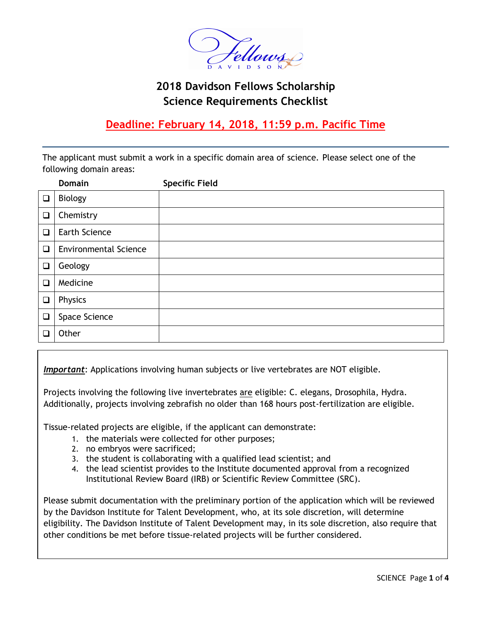

# **2018 Davidson Fellows Scholarship Science Requirements Checklist**

# **Deadline: February 14, 2018, 11:59 p.m. Pacific Time**

The applicant must submit a work in a specific domain area of science. Please select one of the following domain areas:

|        | <b>Domain</b>                | <b>Specific Field</b> |
|--------|------------------------------|-----------------------|
| $\Box$ | <b>Biology</b>               |                       |
| $\Box$ | Chemistry                    |                       |
| $\Box$ | <b>Earth Science</b>         |                       |
| $\Box$ | <b>Environmental Science</b> |                       |
| $\Box$ | Geology                      |                       |
| $\Box$ | Medicine                     |                       |
| $\Box$ | Physics                      |                       |
| $\Box$ | Space Science                |                       |
| L      | Other                        |                       |

*Important*: Applications involving human subjects or live vertebrates are NOT eligible.

Projects involving the following live invertebrates are eligible: C. elegans, Drosophila, Hydra. Additionally, projects involving zebrafish no older than 168 hours post-fertilization are eligible.

Tissue-related projects are eligible, if the applicant can demonstrate:

- 1. the materials were collected for other purposes;
- 2. no embryos were sacrificed; and scientistical scientists; and scientists; and scientists; and scientists; and scientists; and scientists; and scientists; and scientists; and scientists; and scientists; and scientists; a
- 3. the student is collaborating with a qualified lead scientist; and
- 4. the lead scientist provides to the Institute documented approval from a recognized Institutional Review Board (IRB) or Scientific Review Committee (SRC).

Please submit documentation with the preliminary portion of the application which will be reviewed by

Please submit documentation with the preliminary portion of the application which will be reviewed by the Davidson Institute for Talent Development, who, at its sole discretion, will determine eligibility. The Davidson Institute of Talent Development may, in its sole discretion, also require that other conditions be met before tissue-related projects will be further considered.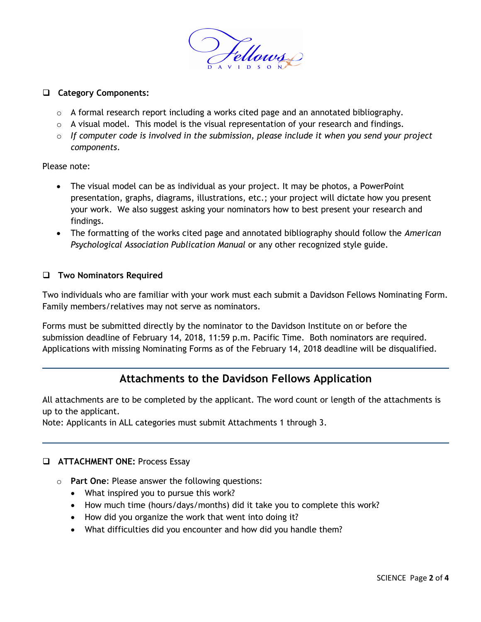

## **Category Components:**

- o A formal research report including a works cited page and an annotated bibliography.
- $\circ$  A visual model. This model is the visual representation of your research and findings.
- o *If computer code is involved in the submission, please include it when you send your project components*.

Please note:

- The visual model can be as individual as your project. It may be photos, a PowerPoint presentation, graphs, diagrams, illustrations, etc.; your project will dictate how you present your work. We also suggest asking your nominators how to best present your research and findings.
- The formatting of the works cited page and annotated bibliography should follow the *American Psychological Association Publication Manual* or any other recognized style guide.

### **Two Nominators Required**

Two individuals who are familiar with your work must each submit a Davidson Fellows Nominating Form. Family members/relatives may not serve as nominators.

Forms must be submitted directly by the nominator to the Davidson Institute on or before the submission deadline of February 14, 2018, 11:59 p.m. Pacific Time. Both nominators are required. Applications with missing Nominating Forms as of the February 14, 2018 deadline will be disqualified.

# **Attachments to the Davidson Fellows Application**

All attachments are to be completed by the applicant. The word count or length of the attachments is up to the applicant.

Note: Applicants in ALL categories must submit Attachments 1 through 3.

### **ATTACHMENT ONE: Process Essay**

- o **Part One**: Please answer the following questions:
	- What inspired you to pursue this work?
	- How much time (hours/days/months) did it take you to complete this work?
	- How did you organize the work that went into doing it?
	- What difficulties did you encounter and how did you handle them?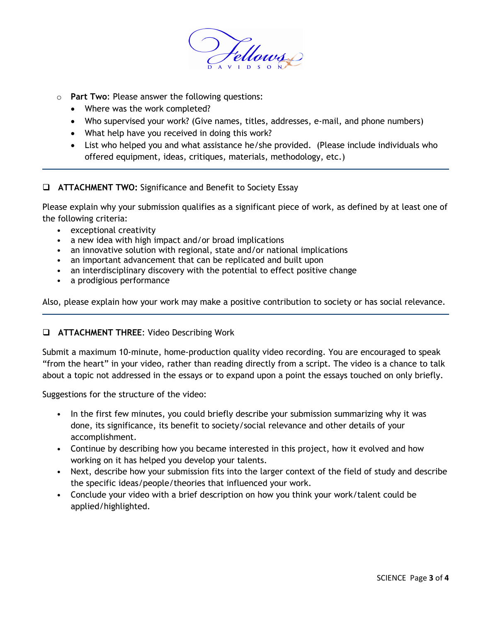

- o **Part Two**: Please answer the following questions:
	- Where was the work completed?
	- Who supervised your work? (Give names, titles, addresses, e-mail, and phone numbers)
	- What help have you received in doing this work?
	- List who helped you and what assistance he/she provided. (Please include individuals who offered equipment, ideas, critiques, materials, methodology, etc.)

### **ATTACHMENT TWO:** Significance and Benefit to Society Essay

Please explain why your submission qualifies as a significant piece of work, as defined by at least one of the following criteria:

- exceptional creativity
- a new idea with high impact and/or broad implications
- an innovative solution with regional, state and/or national implications
- an important advancement that can be replicated and built upon
- an interdisciplinary discovery with the potential to effect positive change
- a prodigious performance

Also, please explain how your work may make a positive contribution to society or has social relevance.

### **ATTACHMENT THREE**: Video Describing Work

Submit a maximum 10-minute, home-production quality video recording. You are encouraged to speak "from the heart" in your video, rather than reading directly from a script. The video is a chance to talk about a topic not addressed in the essays or to expand upon a point the essays touched on only briefly.

Suggestions for the structure of the video:

- In the first few minutes, you could briefly describe your submission summarizing why it was done, its significance, its benefit to society/social relevance and other details of your accomplishment.
- Continue by describing how you became interested in this project, how it evolved and how working on it has helped you develop your talents.
- Next, describe how your submission fits into the larger context of the field of study and describe the specific ideas/people/theories that influenced your work.
- Conclude your video with a brief description on how you think your work/talent could be applied/highlighted.